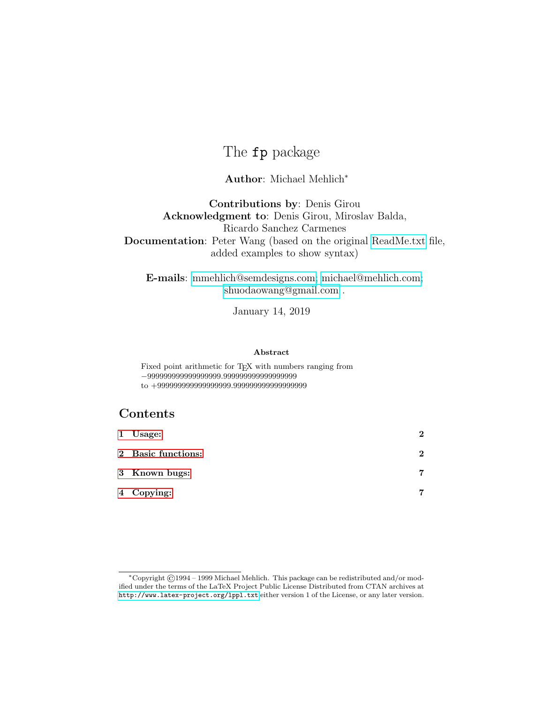# The fp package

Author: Michael Mehlich<sup>∗</sup>

Contributions by: Denis Girou Acknowledgment to: Denis Girou, Miroslav Balda, Ricardo Sanchez Carmenes Documentation: Peter Wang (based on the original [ReadMe.txt](http://mirrors.ctan.org/macros/latex/contrib/fp/README) file, added examples to show syntax)

E-mails: [mmehlich@semdesigns.com;](mailto:mmehlich@semdesigns.com) [michael@mehlich.com;](mailto:michael@mehlich.com) [shuodaowang@gmail.com](mailto:shuodaowang@gmail.com) .

January 14, 2019

### Abstract

Fixed point arithmetic for TEX with numbers ranging from −999999999999999999.999999999999999999 to +999999999999999999.999999999999999999

# Contents

| 1 Usage:           | $\mathbf{2}$ |
|--------------------|--------------|
| 2 Basic functions: | $\mathbf{2}$ |
| 3 Known bugs:      | 7            |
| 4 Copying:         | 7            |

<sup>∗</sup>Copyright ©1994 – 1999 Michael Mehlich. This package can be redistributed and/or modified under the terms of the LaTeX Project Public License Distributed from CTAN archives at <http://www.latex-project.org/lppl.txt> either version 1 of the License, or any later version.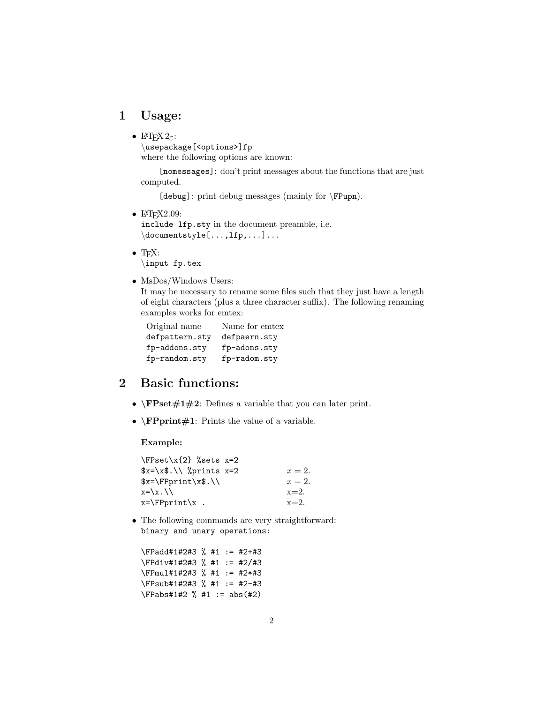### <span id="page-1-0"></span>1 Usage:

• Ε<sup>ρ</sup>Τ<sub>Ε</sub>Χ 2<sub>ε</sub>:

\usepackage[<options>]fp where the following options are known:

[nomessages]: don't print messages about the functions that are just computed.

[debug]: print debug messages (mainly for \FPupn).

•  $IAT$ F $X2.09$ :

include lfp.sty in the document preamble, i.e. \documentstyle[...,lfp,...]...

- $\bullet$  T<sub>E</sub>X: \input fp.tex
- MsDos/Windows Users:

It may be necessary to rename some files such that they just have a length of eight characters (plus a three character suffix). The following renaming examples works for emtex:

| Original name  | Name for emtex |
|----------------|----------------|
| defpattern.sty | defpaern.sty   |
| fp-addons.sty  | fp-adons.sty   |
| fp-random.sty  | fp-radom.sty   |

## <span id="page-1-1"></span>2 Basic functions:

- $\bullet$  \FPset#1#2: Defines a variable that you can later print.
- **\FPprint**#1: Prints the value of a variable.

### Example:

| $\FBest\xf2}$ %sets x=2   |         |
|---------------------------|---------|
| $x=\x$ \$. \\ %prints x=2 | $x=2.$  |
| $x=\Fprint(x\$ .          | $x=2.$  |
| $x = \frac{x}{\sqrt{2}}$  | $x=2$ . |
| $x = \F{Pprint\x$ .       | $x=2$ . |

• The following commands are very straightforward: binary and unary operations:

\FPadd#1#2#3 % #1 := #2+#3 \FPdiv#1#2#3 % #1 := #2/#3 \FPmul#1#2#3 % #1 := #2\*#3 \FPsub#1#2#3 % #1 := #2-#3 \FPabs#1#2 % #1 := abs(#2)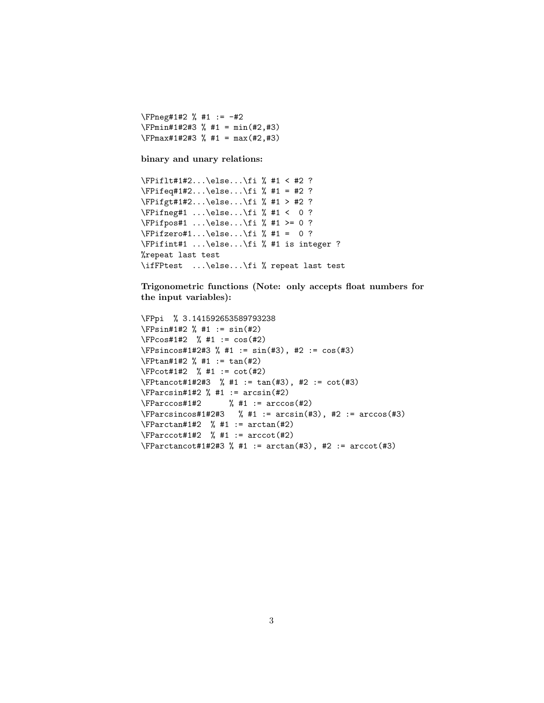\FPneg#1#2 % #1 := -#2 \FPmin#1#2#3 % #1 = min(#2,#3)  $\F{Pmax#1#2#3 % #1 = max#2, #3}$ 

binary and unary relations:

```
\FPiflt#1#2...\else...\fi % #1 < #2 ?
\FPifeq#1#2...\else...\fi % #1 = #2 ?
\FPifgt#1#2...\else...\fi % #1 > #2 ?
\FPifneg#1 ...\else...\fi % #1 < 0 ?
\FPifpos#1 ...\else...\fi % #1 >= 0 ?
\FPifzero#1...\else...\fi % #1 = 0 ?
\FPifint#1 ...\else...\fi % #1 is integer ?
%repeat last test
\ifFPtest ...\else...\fi % repeat last test
```
Trigonometric functions (Note: only accepts float numbers for the input variables):

```
\FPpi % 3.141592653589793238
\FPsin#1#2 % #1 := sin(#2)
\FPCos#1#2 % #1 := \cos(H2)\FPsincos#1#2#3 % #1 := sin(#3), #2 := cos(#3)
\FPtan#1#2 % #1 := tan(#2)
\FPcot#1#2 % #1 := cot(#2)
\FPtancot#1#2#3 % #1 := tan(#3), #2 := cot(#3)
\FParcsin#1#2 % #1 := arcsin(#2)
\FParccos#1#2 % #1 := arccos(#2)
\FParcsincos#1#2#3 % #1 := arcsin(#3), #2 := arccos(#3)
\FParctan#1#2 % #1 := arctan(#2)
\FParccot#1#2 % #1 := arccot(#2)
\FParctancot#1#2#3 % #1 := arctan(#3), #2 := arccot(#3)
```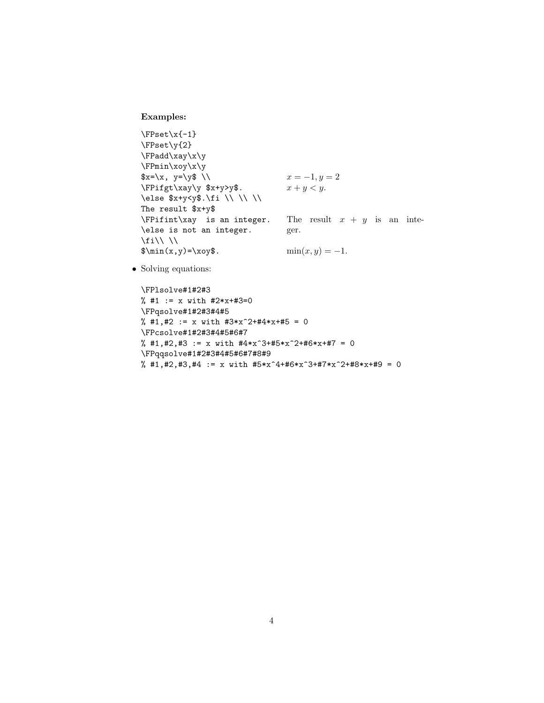Examples:

```
\Pset\x{-1}\FPset\y{2}
\FPadd\xay\x\y
\FPmin\xoy\x\y
x=\x, y=\y\ \\
\FPifgt\xay\y $x+y>y$.
\else $x+y<y$.\fi \\ \\ \\
The result $x+y$
\FPifint\xay is an integer.
\else is not an integer.
\fi\\ \backslash\lim(x,y)=\xoy\.
                              x = -1, y = 2x + y < y.
                                The result x + y is an inte-
                                ger.
                               \min(x, y) = -1.
```
• Solving equations:

\FPlsolve#1#2#3 % #1 := x with #2\*x+#3=0 \FPqsolve#1#2#3#4#5 % #1,#2 := x with #3\*x^2+#4\*x+#5 = 0 \FPcsolve#1#2#3#4#5#6#7 % #1,#2,#3 := x with #4\*x^3+#5\*x^2+#6\*x+#7 = 0 \FPqqsolve#1#2#3#4#5#6#7#8#9 % #1,#2,#3,#4 := x with #5\*x^4+#6\*x^3+#7\*x^2+#8\*x+#9 = 0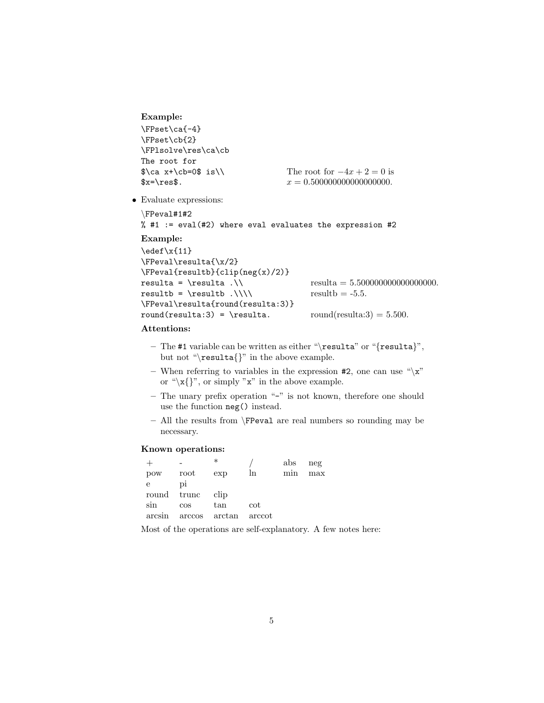```
Example:
\FPset\ca{-4}
\FPset\cb{2}
\FPlsolve\res\ca\cb
The root for
\cdot x+\cdot -0 is \\
x=\res.
                                  The root for -4x + 2 = 0 is
                                  x = 0.500000000000000000.
```
• Evaluate expressions:

```
\FPeval#1#2
% #1 := eval(#2) where eval evaluates the expression #2
Example:
\text{def}\x{11}\FPeval\resulta{\x/2}
\FPeval{resultb}{clip(neg(x)/2)}
resulta = resulta .\iresultb = \rceultb .\\\}\\FPeval\resulta{round(resulta:3)}
round(resulta:3) = \resulta.
                                      resulta = 5.500000000000000000.
                                      resultb = -5.5.round(resulta:3) = 5.500.
```
### Attentions:

- The #1 variable can be written as either "\resulta" or "{resulta}", but not "\resulta{}" in the above example.
- When referring to variables in the expression #2, one can use " $\langle x \rangle$ " or " $\{x\}$ ", or simply "x" in the above example.
- The unary prefix operation "-" is not known, therefore one should use the function neg() instead.
- $-$  All the results from  $\F$ Peval are real numbers so rounding may be necessary.

#### Known operations:

|        |                  | ∗                           |     | abs neg |     |
|--------|------------------|-----------------------------|-----|---------|-----|
| pow    | root             | exp                         | ln  | min     | max |
| e      | D1               |                             |     |         |     |
|        | round trunc clip |                             |     |         |     |
| $\sin$ | $\cos$           | tan                         | cot |         |     |
|        |                  | arcsin arccos arctan arccot |     |         |     |

Most of the operations are self-explanatory. A few notes here: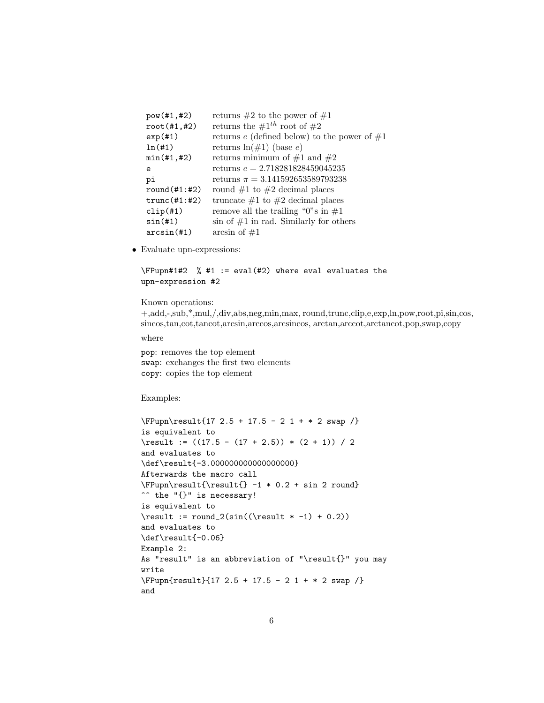| pow(#1,#2)                         | returns $\#2$ to the power of $\#1$               |
|------------------------------------|---------------------------------------------------|
| root(#1, #2)                       | returns the $\#1^{th}$ root of $\#2$              |
| $exp(+1)$                          | returns $e$ (defined below) to the power of $\#1$ |
| ln(#1)                             | returns $\ln(\#1)$ (base e)                       |
| min(H1, #2)                        | returns minimum of $\#1$ and $\#2$                |
| e                                  | returns $e = 2.718281828459045235$                |
| рi                                 | returns $\pi = 3.141592653589793238$              |
| $round(\texttt{\#1}:\texttt{\#2})$ | round $#1$ to $#2$ decimal places                 |
| trunc( #1: #2)                     | truncate $\#1$ to $\#2$ decimal places            |
| clip(#1)                           | remove all the trailing "0"s in $\#1$             |
| $sin(+1)$                          | $\sin$ of $\#1$ in rad. Similarly for others      |
| arcsin(#1)                         | arcsin of $\#1$                                   |

• Evaluate upn-expressions:

\FPupn#1#2 % #1 := eval(#2) where eval evaluates the upn-expression #2

#### Known operations:

+,add,-,sub,\*,mul,/,div,abs,neg,min,max, round,trunc,clip,e,exp,ln,pow,root,pi,sin,cos, sincos,tan,cot,tancot,arcsin,arccos,arcsincos, arctan,arccot,arctancot,pop,swap,copy

where

pop: removes the top element swap: exchanges the first two elements copy: copies the top element

Examples:

```
\FPupn\result{17 2.5 + 17.5 - 2 1 + * 2 swap /}
is equivalent to
\result := ((17.5 - (17 + 2.5)) * (2 + 1)) / 2and evaluates to
\def\result{-3.000000000000000000}
Afterwards the macro call
\F Pupn\result{\result} -1 * 0.2 + sin 2 round\}^^ the "{}" is necessary!
is equivalent to
\result := round_2(sin((\result * -1) + 0.2))and evaluates to
\def\result{-0.06}
Example 2:
As "result" is an abbreviation of "\result{}" you may
write
\FPupn{result}{17 2.5 + 17.5 - 2 1 + * 2 swap /}
and
```